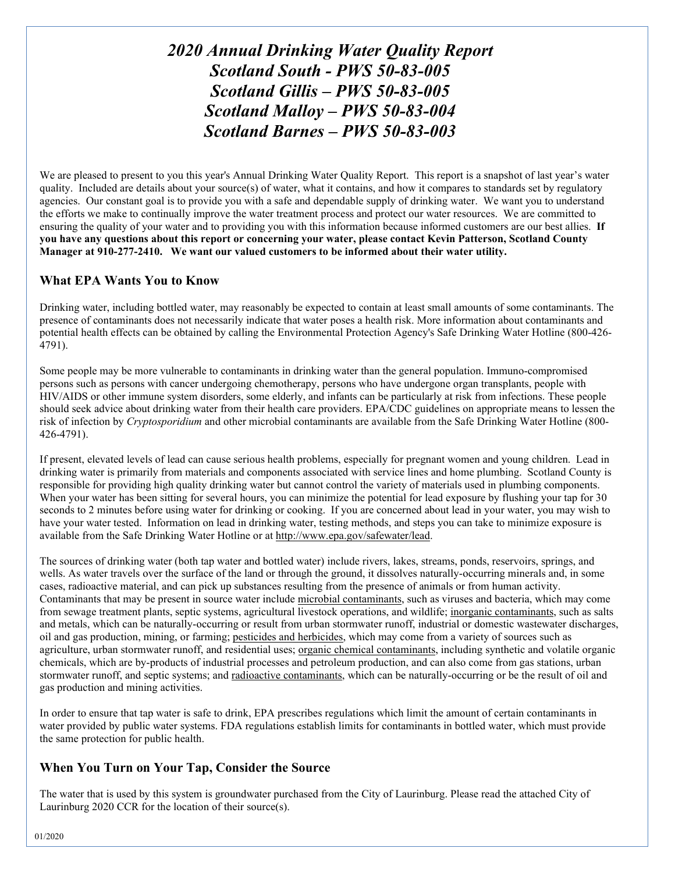# *2020 Annual Drinking Water Quality Report Scotland South - PWS 50-83-005 Scotland Gillis – PWS 50-83-005 Scotland Malloy – PWS 50-83-004 Scotland Barnes – PWS 50-83-003*

We are pleased to present to you this year's Annual Drinking Water Quality Report. This report is a snapshot of last year's water quality. Included are details about your source(s) of water, what it contains, and how it compares to standards set by regulatory agencies. Our constant goal is to provide you with a safe and dependable supply of drinking water. We want you to understand the efforts we make to continually improve the water treatment process and protect our water resources. We are committed to ensuring the quality of your water and to providing you with this information because informed customers are our best allies. **If you have any questions about this report or concerning your water, please contact Kevin Patterson, Scotland County Manager at 910-277-2410. We want our valued customers to be informed about their water utility.** 

## **What EPA Wants You to Know**

Drinking water, including bottled water, may reasonably be expected to contain at least small amounts of some contaminants. The presence of contaminants does not necessarily indicate that water poses a health risk. More information about contaminants and potential health effects can be obtained by calling the Environmental Protection Agency's Safe Drinking Water Hotline (800-426- 4791).

Some people may be more vulnerable to contaminants in drinking water than the general population. Immuno-compromised persons such as persons with cancer undergoing chemotherapy, persons who have undergone organ transplants, people with HIV/AIDS or other immune system disorders, some elderly, and infants can be particularly at risk from infections. These people should seek advice about drinking water from their health care providers. EPA/CDC guidelines on appropriate means to lessen the risk of infection by *Cryptosporidium* and other microbial contaminants are available from the Safe Drinking Water Hotline (800- 426-4791).

If present, elevated levels of lead can cause serious health problems, especially for pregnant women and young children. Lead in drinking water is primarily from materials and components associated with service lines and home plumbing. Scotland County is responsible for providing high quality drinking water but cannot control the variety of materials used in plumbing components. When your water has been sitting for several hours, you can minimize the potential for lead exposure by flushing your tap for 30 seconds to 2 minutes before using water for drinking or cooking. If you are concerned about lead in your water, you may wish to have your water tested. Information on lead in drinking water, testing methods, and steps you can take to minimize exposure is available from the Safe Drinking Water Hotline or at [http://www.epa.gov/safewater/lead.](http://www.epa.gov/safewater/lead)

The sources of drinking water (both tap water and bottled water) include rivers, lakes, streams, ponds, reservoirs, springs, and wells. As water travels over the surface of the land or through the ground, it dissolves naturally-occurring minerals and, in some cases, radioactive material, and can pick up substances resulting from the presence of animals or from human activity. Contaminants that may be present in source water include microbial contaminants, such as viruses and bacteria, which may come from sewage treatment plants, septic systems, agricultural livestock operations, and wildlife; inorganic contaminants, such as salts and metals, which can be naturally-occurring or result from urban stormwater runoff, industrial or domestic wastewater discharges, oil and gas production, mining, or farming; pesticides and herbicides, which may come from a variety of sources such as agriculture, urban stormwater runoff, and residential uses; organic chemical contaminants, including synthetic and volatile organic chemicals, which are by-products of industrial processes and petroleum production, and can also come from gas stations, urban stormwater runoff, and septic systems; and radioactive contaminants, which can be naturally-occurring or be the result of oil and gas production and mining activities.

In order to ensure that tap water is safe to drink, EPA prescribes regulations which limit the amount of certain contaminants in water provided by public water systems. FDA regulations establish limits for contaminants in bottled water, which must provide the same protection for public health.

### **When You Turn on Your Tap, Consider the Source**

The water that is used by this system is groundwater purchased from the City of Laurinburg. Please read the attached City of Laurinburg 2020 CCR for the location of their source(s).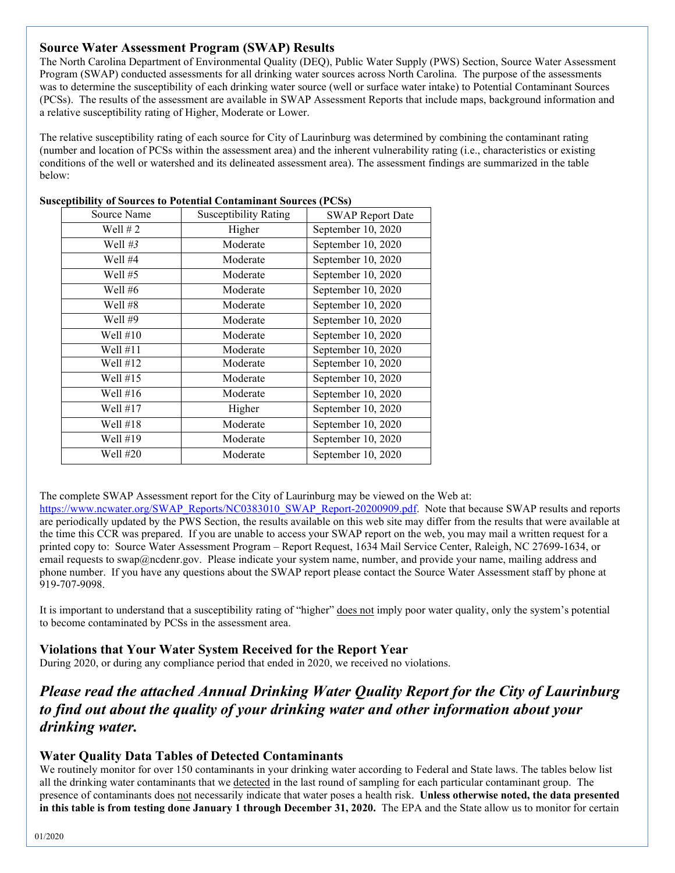## **Source Water Assessment Program (SWAP) Results**

The North Carolina Department of Environmental Quality (DEQ), Public Water Supply (PWS) Section, Source Water Assessment Program (SWAP) conducted assessments for all drinking water sources across North Carolina. The purpose of the assessments was to determine the susceptibility of each drinking water source (well or surface water intake) to Potential Contaminant Sources (PCSs). The results of the assessment are available in SWAP Assessment Reports that include maps, background information and a relative susceptibility rating of Higher, Moderate or Lower.

The relative susceptibility rating of each source for City of Laurinburg was determined by combining the contaminant rating (number and location of PCSs within the assessment area) and the inherent vulnerability rating (i.e., characteristics or existing conditions of the well or watershed and its delineated assessment area). The assessment findings are summarized in the table below:

| Source Name | <b>Susceptibility Rating</b> | <b>SWAP Report Date</b> |
|-------------|------------------------------|-------------------------|
| Well $# 2$  | Higher                       | September 10, 2020      |
| Well $#3$   | Moderate                     | September 10, 2020      |
| Well #4     | Moderate                     | September 10, 2020      |
| Well $#5$   | Moderate                     | September 10, 2020      |
| Well #6     | Moderate                     | September 10, 2020      |
| Well #8     | Moderate                     | September 10, 2020      |
| Well #9     | Moderate                     | September 10, 2020      |
| Well $\#10$ | Moderate                     | September 10, 2020      |
| Well $\#11$ | Moderate                     | September 10, 2020      |
| Well $\#12$ | Moderate                     | September 10, 2020      |
| Well $\#15$ | Moderate                     | September 10, 2020      |
| Well $#16$  | Moderate                     | September 10, 2020      |
| Well $#17$  | Higher                       | September 10, 2020      |
| Well $\#18$ | Moderate                     | September 10, 2020      |
| Well #19    | Moderate                     | September 10, 2020      |
| Well #20    | Moderate                     | September 10, 2020      |

#### **Susceptibility of Sources to Potential Contaminant Sources (PCSs)**

The complete SWAP Assessment report for the City of Laurinburg may be viewed on the Web at:

[https://www.ncwater.org/SWAP\\_Reports/NC0383010\\_SWAP\\_Report-20200909.pdf.](https://www.ncwater.org/SWAP_Reports/NC0383010_SWAP_Report-20200909.pdf) Note that because SWAP results and reports are periodically updated by the PWS Section, the results available on this web site may differ from the results that were available at the time this CCR was prepared. If you are unable to access your SWAP report on the web, you may mail a written request for a printed copy to: Source Water Assessment Program – Report Request, 1634 Mail Service Center, Raleigh, NC 27699-1634, or email requests to swap@ncdenr.gov. Please indicate your system name, number, and provide your name, mailing address and phone number. If you have any questions about the SWAP report please contact the Source Water Assessment staff by phone at 919-707-9098.

It is important to understand that a susceptibility rating of "higher" does not imply poor water quality, only the system's potential to become contaminated by PCSs in the assessment area.

### **Violations that Your Water System Received for the Report Year**

During 2020, or during any compliance period that ended in 2020, we received no violations.

# *Please read the attached Annual Drinking Water Quality Report for the City of Laurinburg to find out about the quality of your drinking water and other information about your drinking water.*

### **Water Quality Data Tables of Detected Contaminants**

We routinely monitor for over 150 contaminants in your drinking water according to Federal and State laws. The tables below list all the drinking water contaminants that we detected in the last round of sampling for each particular contaminant group. The presence of contaminants does not necessarily indicate that water poses a health risk. **Unless otherwise noted, the data presented in this table is from testing done January 1 through December 31, 2020.** The EPA and the State allow us to monitor for certain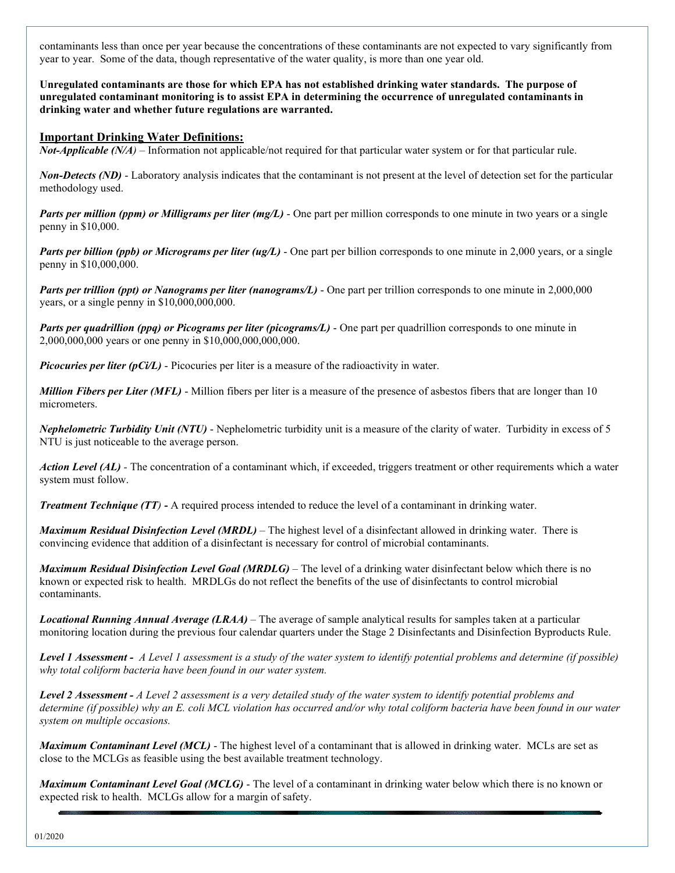contaminants less than once per year because the concentrations of these contaminants are not expected to vary significantly from year to year. Some of the data, though representative of the water quality, is more than one year old.

**Unregulated contaminants are those for which EPA has not established drinking water standards. The purpose of unregulated contaminant monitoring is to assist EPA in determining the occurrence of unregulated contaminants in drinking water and whether future regulations are warranted.** 

#### **Important Drinking Water Definitions:**

*Not-Applicable (N/A)* – Information not applicable/not required for that particular water system or for that particular rule.

*Non-Detects (ND)* - Laboratory analysis indicates that the contaminant is not present at the level of detection set for the particular methodology used.

*Parts per million (ppm) or Milligrams per liter (mg/L)* - One part per million corresponds to one minute in two years or a single penny in \$10,000.

*Parts per billion (ppb) or Micrograms per liter (ug/L)* - One part per billion corresponds to one minute in 2,000 years, or a single penny in \$10,000,000.

*Parts per trillion (ppt) or Nanograms per liter (nanograms/L)* - One part per trillion corresponds to one minute in 2,000,000 years, or a single penny in \$10,000,000,000.

*Parts per quadrillion (ppq) or Picograms per liter (picograms/L)* - One part per quadrillion corresponds to one minute in 2,000,000,000 years or one penny in \$10,000,000,000,000.

*Picocuries per liter (pCi/L)* - Picocuries per liter is a measure of the radioactivity in water.

*Million Fibers per Liter (MFL)* - Million fibers per liter is a measure of the presence of asbestos fibers that are longer than 10 micrometers.

*Nephelometric Turbidity Unit (NTU)* - Nephelometric turbidity unit is a measure of the clarity of water. Turbidity in excess of 5 NTU is just noticeable to the average person.

*Action Level (AL) -* The concentration of a contaminant which, if exceeded, triggers treatment or other requirements which a water system must follow.

*Treatment Technique (TT)* **-** A required process intended to reduce the level of a contaminant in drinking water.

*Maximum Residual Disinfection Level (MRDL)* – The highest level of a disinfectant allowed in drinking water. There is convincing evidence that addition of a disinfectant is necessary for control of microbial contaminants.

*Maximum Residual Disinfection Level Goal (MRDLG)* – The level of a drinking water disinfectant below which there is no known or expected risk to health. MRDLGs do not reflect the benefits of the use of disinfectants to control microbial contaminants.

*Locational Running Annual Average (LRAA)* – The average of sample analytical results for samples taken at a particular monitoring location during the previous four calendar quarters under the Stage 2 Disinfectants and Disinfection Byproducts Rule.

*Level 1 Assessment - A Level 1 assessment is a study of the water system to identify potential problems and determine (if possible) why total coliform bacteria have been found in our water system.* 

*Level 2 Assessment - A Level 2 assessment is a very detailed study of the water system to identify potential problems and determine (if possible) why an E. coli MCL violation has occurred and/or why total coliform bacteria have been found in our water system on multiple occasions.* 

*Maximum Contaminant Level (MCL)* - The highest level of a contaminant that is allowed in drinking water. MCLs are set as close to the MCLGs as feasible using the best available treatment technology.

*Maximum Contaminant Level Goal (MCLG)* - The level of a contaminant in drinking water below which there is no known or expected risk to health. MCLGs allow for a margin of safety.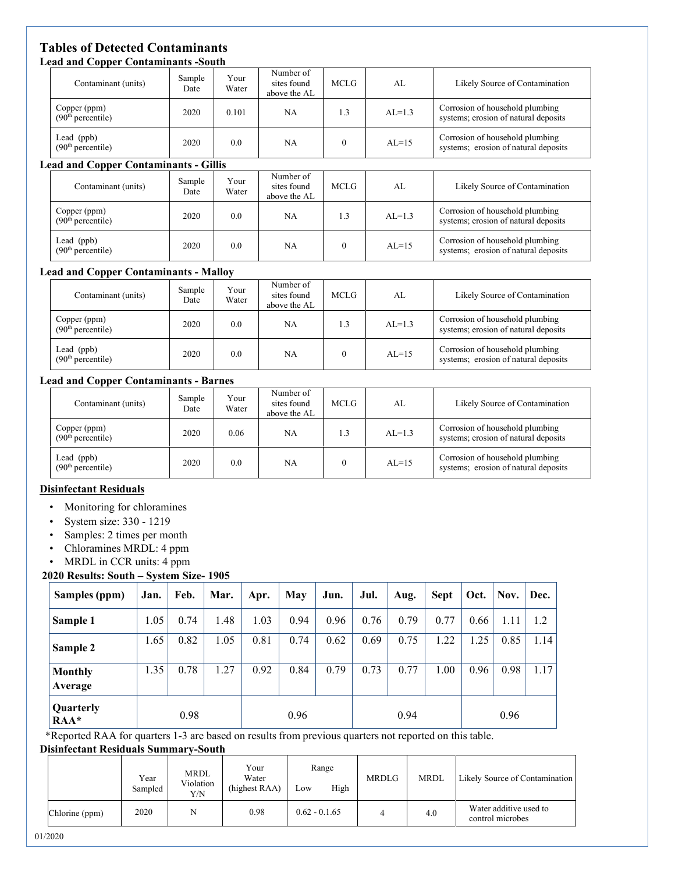#### **Tables of Detected Contaminants Lead and Copper Contaminants -South**

| псай ани соррет сонтаннианть -эойти           |                                 |               |                                          |              |           |                                                                         |
|-----------------------------------------------|---------------------------------|---------------|------------------------------------------|--------------|-----------|-------------------------------------------------------------------------|
| Contaminant (units)                           | Sample<br>Date                  | Your<br>Water | Number of<br>sites found<br>above the AL | <b>MCLG</b>  | AL        | Likely Source of Contamination                                          |
| Copper (ppm)<br>(90 <sup>th</sup> percentile) | 2020<br>0.101                   |               | NA.                                      | 1.3          | $AL=1.3$  | Corrosion of household plumbing<br>systems; erosion of natural deposits |
| Lead (ppb)<br>(90 <sup>th</sup> percentile)   | 2020                            | 0.0           | NA                                       | $\theta$     | $AI = 15$ | Corrosion of household plumbing<br>systems; erosion of natural deposits |
| <b>Lead and Copper Contaminants - Gillis</b>  |                                 |               |                                          |              |           |                                                                         |
| Contaminant (units)                           | Your<br>Sample<br>Water<br>Date |               | Number of<br>sites found<br>above the AL | <b>MCLG</b>  | AL        | Likely Source of Contamination                                          |
| Copper (ppm)<br>(90 <sup>th</sup> percentile) | 2020                            | 0.0           | NA.                                      | 1.3          | $AL=1.3$  | Corrosion of household plumbing<br>systems; erosion of natural deposits |
| Lead $(ppb)$<br>(90 <sup>th</sup> percentile) | 2020<br>0.0                     |               | NA.                                      | $\mathbf{0}$ | $AL=15$   | Corrosion of household plumbing<br>systems; erosion of natural deposits |

#### **Lead and Copper Contaminants - Malloy**

| . .                                           |                |               |                                          |       |            |                                                                         |  |
|-----------------------------------------------|----------------|---------------|------------------------------------------|-------|------------|-------------------------------------------------------------------------|--|
| Contaminant (units)                           | Sample<br>Date | Your<br>Water | Number of<br>sites found<br>above the AL | MCLG. | AI.        | Likely Source of Contamination                                          |  |
| Copper (ppm)<br>(90 <sup>th</sup> percentile) | 2020<br>0.0    |               | NA                                       | 1.3   | $AI = 1.3$ | Corrosion of household plumbing<br>systems; erosion of natural deposits |  |
| Lead (ppb)<br>(90 <sup>th</sup> percentile)   | 2020           | 0.0           | NA                                       |       | $AL=15$    | Corrosion of household plumbing<br>systems; erosion of natural deposits |  |

#### **Lead and Copper Contaminants - Barnes**

| Contaminant (units)                           | Sample<br>Date | Your<br>Water | Number of<br>sites found<br>above the AL | <b>MCLG</b> | AL       | Likely Source of Contamination                                          |
|-----------------------------------------------|----------------|---------------|------------------------------------------|-------------|----------|-------------------------------------------------------------------------|
| Copper (ppm)<br>(90 <sup>th</sup> percentile) | 2020           | 0.06          | NA                                       | 1.3         | $AL=1.3$ | Corrosion of household plumbing<br>systems; erosion of natural deposits |
| Lead (ppb)<br>(90 <sup>th</sup> percentile)   | 2020<br>0.0    |               | NA                                       |             | $AL=15$  | Corrosion of household plumbing<br>systems; erosion of natural deposits |

#### **Disinfectant Residuals**

- Monitoring for chloramines
- System size: 330 1219
- Samples: 2 times per month
- Chloramines MRDL: 4 ppm
- MRDL in CCR units: 4 ppm

#### **2020 Results: South – System Size- 1905**

| Samples (ppm)               | Jan. | Feb. | Mar. | Apr. | May  | Jun. | Jul. | Aug. | <b>Sept</b> | Oct. | Nov. | Dec. |
|-----------------------------|------|------|------|------|------|------|------|------|-------------|------|------|------|
| Sample 1                    | 1.05 | 0.74 | 1.48 | 1.03 | 0.94 | 0.96 | 0.76 | 0.79 | 0.77        | 0.66 | 1.11 | 1.2  |
| Sample 2                    | 1.65 | 0.82 | 1.05 | 0.81 | 0.74 | 0.62 | 0.69 | 0.75 | 1.22        | 1.25 | 0.85 | 1.14 |
| <b>Monthly</b><br>Average   | 1.35 | 0.78 | 1.27 | 0.92 | 0.84 | 0.79 | 0.73 | 0.77 | 1.00        | 0.96 | 0.98 | 1.17 |
| Quarterly<br>0.98<br>$RAA*$ |      | 0.96 |      |      | 0.94 |      |      | 0.96 |             |      |      |      |

\*Reported RAA for quarters 1-3 are based on results from previous quarters not reported on this table. **Disinfectant Residuals Summary-South**

|                | Year<br>Sampled | MRDL<br>Violation<br>Y/N | Your<br>Water<br>(highest RAA) | Range<br>High<br>Low | <b>MRDLG</b> | <b>MRDL</b> | Likely Source of Contamination             |
|----------------|-----------------|--------------------------|--------------------------------|----------------------|--------------|-------------|--------------------------------------------|
| Chlorine (ppm) | 2020            | N                        | 0.98                           | $0.62 - 0.1.65$      |              | 4.0         | Water additive used to<br>control microbes |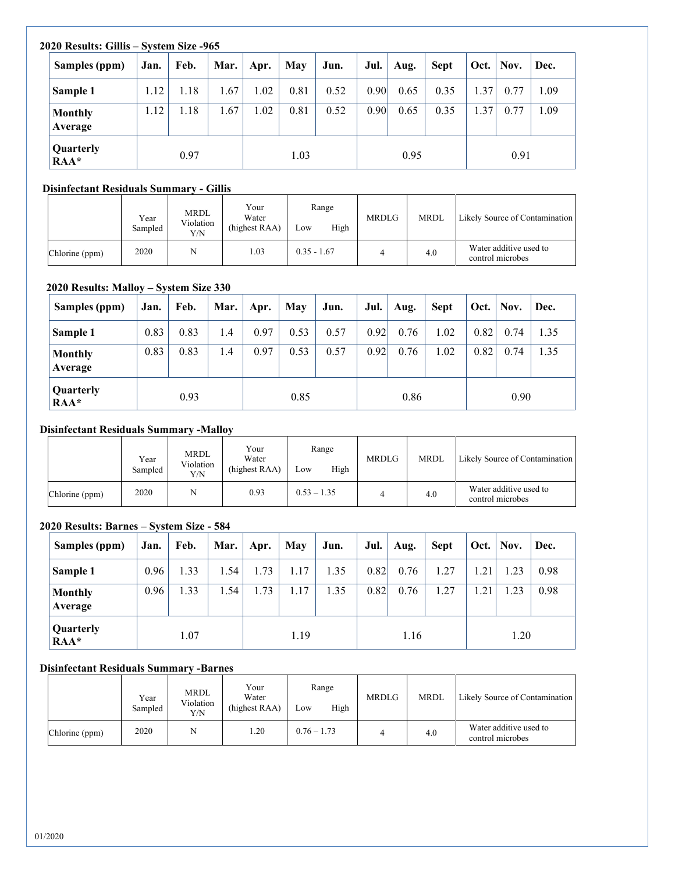|  | 2020 Results: Gillis – System Size -965 |      |      |      |      |      |      |                   |      |             |      |      |      |  |  |
|--|-----------------------------------------|------|------|------|------|------|------|-------------------|------|-------------|------|------|------|--|--|
|  | Samples (ppm)                           | Jan. | Feb. | Mar. | Apr. | May  | Jun. | Jul.              | Aug. | <b>Sept</b> | Oct. | Nov. | Dec. |  |  |
|  | Sample 1                                | 1.12 | 1.18 | 1.67 | 1.02 | 0.81 | 0.52 | 0.90 <sub>l</sub> | 0.65 | 0.35        | 1.37 | 0.77 | 1.09 |  |  |
|  | <b>Monthly</b><br>Average               | 1.12 | 1.18 | 1.67 | 1.02 | 0.81 | 0.52 | 0.90              | 0.65 | 0.35        | 1.37 | 0.77 | 1.09 |  |  |
|  | Quarterly<br>$RAA*$                     | 0.97 |      |      | 1.03 |      |      |                   | 0.95 |             |      | 0.91 |      |  |  |

## **Disinfectant Residuals Summary - Gillis**

|                | Year<br>Sampled | <b>MRDL</b><br>Violation<br>Y/N | Your<br>Water<br>(highest RAA) | Range<br>High<br>Low | <b>MRDLG</b> | <b>MRDL</b> | Likely Source of Contamination             |
|----------------|-----------------|---------------------------------|--------------------------------|----------------------|--------------|-------------|--------------------------------------------|
| Chlorine (ppm) | 2020            |                                 | 0.03                           | $0.35 - 1.67$        |              | 4.0         | Water additive used to<br>control microbes |

## **2020 Results: Malloy – System Size 330**

| Samples (ppm)             | Jan. | Feb. | Mar.       | Apr. | May  | Jun. | Jul. | Aug. | <b>Sept</b> | Oct. | Nov. | Dec. |
|---------------------------|------|------|------------|------|------|------|------|------|-------------|------|------|------|
| Sample 1                  | 0.83 | 0.83 | 1.4        | 0.97 | 0.53 | 0.57 | 0.92 | 0.76 | 1.02        | 0.82 | 0.74 | 1.35 |
| <b>Monthly</b><br>Average | 0.83 | 0.83 | $\cdot$ .4 | 0.97 | 0.53 | 0.57 | 0.92 | 0.76 | 1.02        | 0.82 | 0.74 | 1.35 |
| Quarterly<br>$RAA*$       | 0.93 |      | 0.85       |      |      | 0.86 |      |      |             | 0.90 |      |      |

#### **Disinfectant Residuals Summary -Malloy**

|                | Year<br>Sampled | MRDL<br>Violation<br>Y/N | Your<br>Water<br>(highest RAA) | Range<br>High<br>Low | <b>MRDLG</b> | <b>MRDL</b> | Likely Source of Contamination             |
|----------------|-----------------|--------------------------|--------------------------------|----------------------|--------------|-------------|--------------------------------------------|
| Chlorine (ppm) | 2020            |                          | 0.93                           | $0.53 - 1.35$        |              | 4.0         | Water additive used to<br>control microbes |

#### **2020 Results: Barnes – System Size - 584**

| Samples (ppm)             | Jan. | Feb. | Mar. | Apr. | May  | Jun. | Jul. | Aug. | <b>Sept</b> | Oct. | Nov. | Dec. |
|---------------------------|------|------|------|------|------|------|------|------|-------------|------|------|------|
| Sample 1                  | 0.96 | 1.33 | 1.54 | 1.73 | 1.17 | 1.35 | 0.82 | 0.76 | 1.27        | 1.21 | 1.23 | 0.98 |
| <b>Monthly</b><br>Average | 0.96 | 1.33 | 1.54 | 1.73 | 1.17 | 1.35 | 0.82 | 0.76 | 1.27        | 1.21 | 1.23 | 0.98 |
| Quarterly<br>$RAA*$       |      | 1.07 |      |      | 1.19 |      |      | 1.16 |             |      | 1.20 |      |

#### **Disinfectant Residuals Summary -Barnes**

|                | Year<br>Sampled | MRDL<br>Violation<br>Y/N | Your<br>Water<br>(highest RAA) | Range<br>High<br>Low | <b>MRDLG</b> | <b>MRDL</b> | Likely Source of Contamination             |
|----------------|-----------------|--------------------------|--------------------------------|----------------------|--------------|-------------|--------------------------------------------|
| Chlorine (ppm) | 2020            |                          | .20                            | $0.76 - 1.73$        |              | 4.0         | Water additive used to<br>control microbes |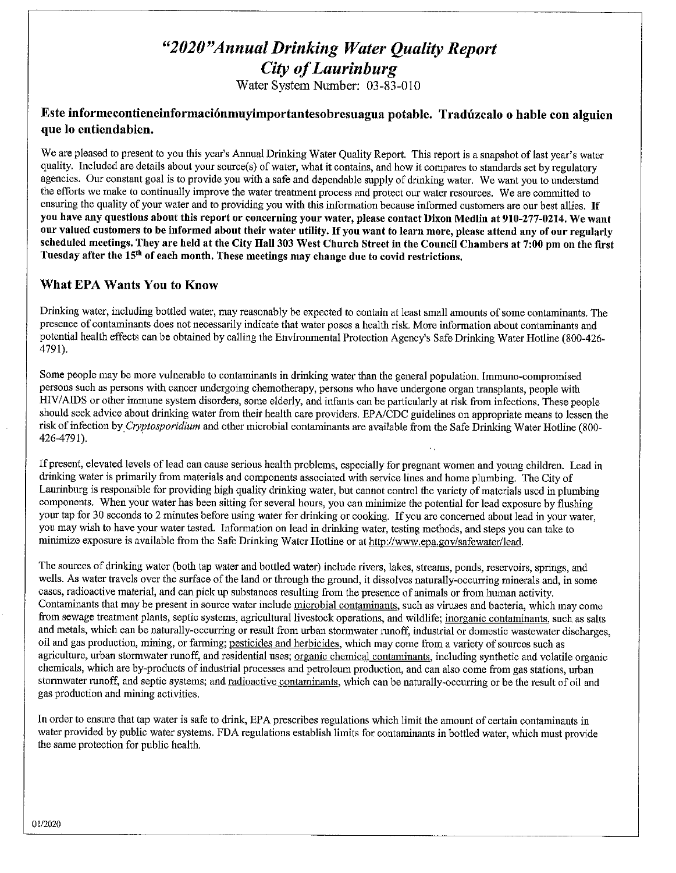# "2020" Annual Drinking Water Quality Report **City of Laurinburg**

Water System Number: 03-83-010

## Este informecontieneinformaciónmuyimportantesobresuagua potable. Tradúzcalo o hable con alguien que lo entiendabien.

We are pleased to present to you this year's Annual Drinking Water Quality Report. This report is a snapshot of last year's water quality. Included are details about your source(s) of water, what it contains, and how it compares to standards set by regulatory agencies. Our constant goal is to provide you with a safe and dependable supply of drinking water. We want you to understand the efforts we make to continually improve the water treatment process and protect our water resources. We are committed to ensuring the quality of your water and to providing you with this information because informed customers are our best allies. If you have any questions about this report or concerning your water, please contact Dixon Medlin at 910-277-0214. We want our valued customers to be informed about their water utility. If you want to learn more, please attend any of our regularly scheduled meetings. They are held at the City Hall 303 West Church Street in the Council Chambers at 7:00 pm on the first Tuesday after the 15<sup>th</sup> of each month. These meetings may change due to covid restrictions.

## What EPA Wants You to Know

Drinking water, including bottled water, may reasonably be expected to contain at least small amounts of some contaminants. The presence of contaminants does not necessarily indicate that water poses a health risk. More information about contaminants and potential health effects can be obtained by calling the Environmental Protection Agency's Safe Drinking Water Hotline (800-426-4791).

Some people may be more vulnerable to contaminants in drinking water than the general population. Immuno-compromised persons such as persons with cancer undergoing chemotherapy, persons who have undergone organ transplants, people with HIV/AIDS or other immune system disorders, some elderly, and infants can be particularly at risk from infections. These people should seek advice about drinking water from their health care providers. EPA/CDC guidelines on appropriate means to lessen the risk of infection by Cryptosporidium and other microbial contaminants are available from the Safe Drinking Water Hotline (800-426-4791).

If present, elevated levels of lead can cause serious health problems, especially for pregnant women and young children. Lead in drinking water is primarily from materials and components associated with service lines and home plumbing. The City of Laurinburg is responsible for providing high quality drinking water, but cannot control the variety of materials used in plumbing components. When your water has been sitting for several hours, you can minimize the potential for lead exposure by flushing your tap for 30 seconds to 2 minutes before using water for drinking or cooking. If you are concerned about lead in your water, you may wish to have your water tested. Information on lead in drinking water, testing methods, and steps you can take to minimize exposure is available from the Safe Drinking Water Hotline or at http://www.epa.gov/safewater/lead.

The sources of drinking water (both tap water and bottled water) include rivers, lakes, streams, ponds, reservoirs, springs, and wells. As water travels over the surface of the land or through the ground, it dissolves naturally-occurring minerals and, in some cases, radioactive material, and can pick up substances resulting from the presence of animals or from human activity. Contaminants that may be present in source water include microbial contaminants, such as viruses and bacteria, which may come from sewage treatment plants, septic systems, agricultural livestock operations, and wildlife; inorganic contaminants, such as salts and metals, which can be naturally-occurring or result from urban stormwater runoff, industrial or domestic wastewater discharges, oil and gas production, mining, or farming; pesticides and herbicides, which may come from a variety of sources such as agriculture, urban stormwater runoff, and residential uses; organic chemical contaminants, including synthetic and volatile organic chemicals, which are by-products of industrial processes and petroleum production, and can also come from gas stations, urban stormwater runoff, and septic systems; and radioactive contaminants, which can be naturally-occurring or be the result of oil and gas production and mining activities.

In order to ensure that tap water is safe to drink, EPA prescribes regulations which limit the amount of certain contaminants in water provided by public water systems. FDA regulations establish limits for contaminants in bottled water, which must provide the same protection for public health.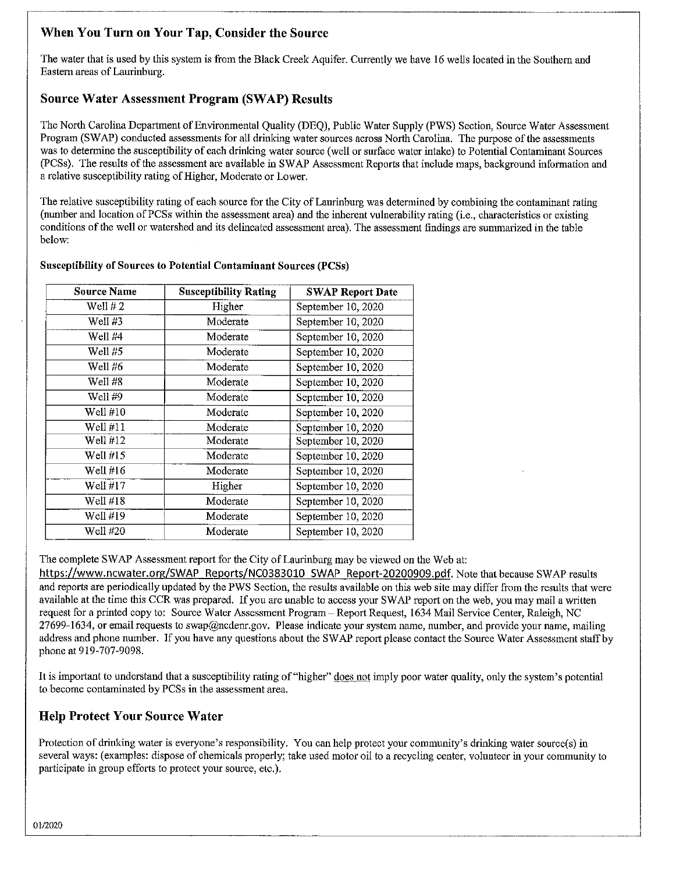# When You Turn on Your Tap, Consider the Source

The water that is used by this system is from the Black Creek Aquifer. Currently we have 16 wells located in the Southern and Eastern areas of Laurinburg.

# **Source Water Assessment Program (SWAP) Results**

The North Carolina Department of Environmental Quality (DEO), Public Water Supply (PWS) Section, Source Water Assessment Program (SWAP) conducted assessments for all drinking water sources across North Carolina. The purpose of the assessments was to determine the susceptibility of each drinking water source (well or surface water intake) to Potential Contaminant Sources (PCSs). The results of the assessment are available in SWAP Assessment Reports that include maps, background information and a relative susceptibility rating of Higher, Moderate or Lower.

The relative susceptibility rating of each source for the City of Laurinburg was determined by combining the contaminant rating (number and location of PCSs within the assessment area) and the inherent vulnerability rating (i.e., characteristics or existing conditions of the well or watershed and its delineated assessment area). The assessment findings are summarized in the table below:

| <b>Source Name</b> | <b>Susceptibility Rating</b> | <b>SWAP Report Date</b> |
|--------------------|------------------------------|-------------------------|
| Well $#2$          | Higher                       | September 10, 2020      |
| Well #3            | Moderate                     | September 10, 2020      |
| Well #4            | Moderate                     | September 10, 2020      |
| Well #5            | Moderate                     | September 10, 2020      |
| Well #6            | Moderate                     | September 10, 2020      |
| Well #8            | Moderate                     | September 10, 2020      |
| Well #9            | Moderate                     | September 10, 2020      |
| Well #10           | Moderate                     | September 10, 2020      |
| Well #11           | Moderate                     | September 10, 2020      |
| Well $#12$         | Moderate                     | September 10, 2020      |
| Well $#15$         | Moderate                     | September 10, 2020      |
| Well #16           | Moderate                     | September 10, 2020      |
| Well #17           | Higher                       | September 10, 2020      |
| Well #18           | Moderate                     | September 10, 2020      |
| Well #19           | Moderate                     | September 10, 2020      |
| Well #20           | Moderate                     | September 10, 2020      |

#### **Susceptibility of Sources to Potential Contaminant Sources (PCSs)**

The complete SWAP Assessment report for the City of Laurinburg may be viewed on the Web at:

https://www.ncwater.org/SWAP\_Reports/NC0383010\_SWAP\_Report-20200909.pdf. Note that because SWAP results and reports are periodically updated by the PWS Section, the results available on this web site may differ from the results that were available at the time this CCR was prepared. If you are unable to access your SWAP report on the web, you may mail a written request for a printed copy to: Source Water Assessment Program - Report Request, 1634 Mail Service Center, Raleigh, NC 27699-1634, or email requests to swap@ncdenr.gov. Please indicate your system name, number, and provide your name, mailing address and phone number. If you have any questions about the SWAP report please contact the Source Water Assessment staff by phone at 919-707-9098.

It is important to understand that a susceptibility rating of "higher" does not imply poor water quality, only the system's potential to become contaminated by PCSs in the assessment area.

# **Help Protect Your Source Water**

Protection of drinking water is everyone's responsibility. You can help protect your community's drinking water source(s) in several ways: (examples: dispose of chemicals properly; take used motor oil to a recycling center, volunteer in your community to participate in group efforts to protect your source, etc.).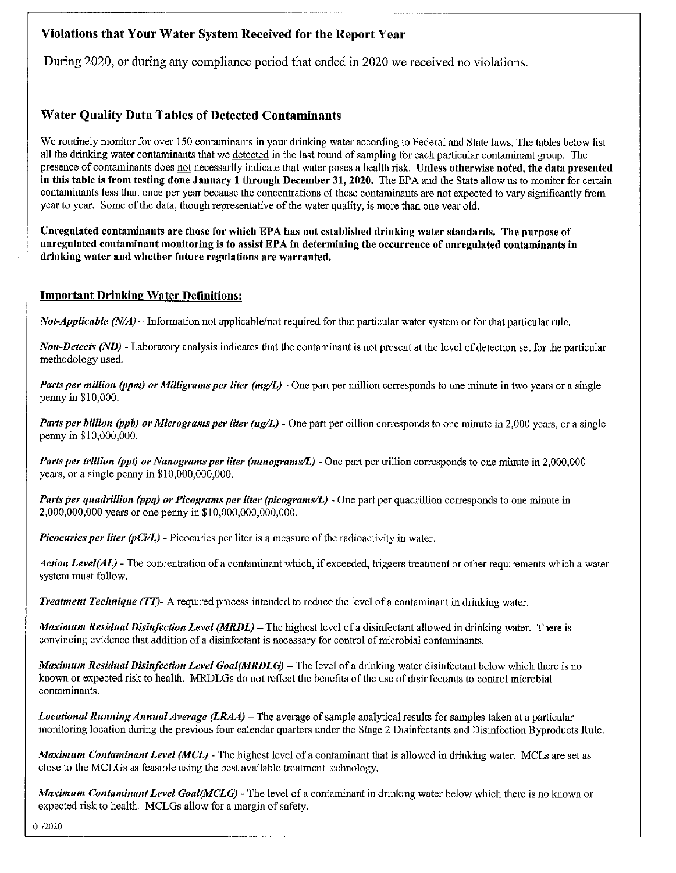# Violations that Your Water System Received for the Report Year

During 2020, or during any compliance period that ended in 2020 we received no violations.

# **Water Quality Data Tables of Detected Contaminants**

We routinely monitor for over 150 contaminants in your drinking water according to Federal and State laws. The tables below list all the drinking water contaminants that we detected in the last round of sampling for each particular contaminant group. The presence of contaminants does not necessarily indicate that water poses a health risk. Unless otherwise noted, the data presented in this table is from testing done January 1 through December 31, 2020. The EPA and the State allow us to monitor for certain contaminants less than once per year because the concentrations of these contaminants are not expected to vary significantly from year to year. Some of the data, though representative of the water quality, is more than one year old.

Unregulated contaminants are those for which EPA has not established drinking water standards. The purpose of unregulated contaminant monitoring is to assist EPA in determining the occurrence of unregulated contaminants in drinking water and whether future regulations are warranted.

### **Important Drinking Water Definitions:**

*Not-Applicable (N/A)* – Information not applicable/not required for that particular water system or for that particular rule.

**Non-Detects (ND)** - Laboratory analysis indicates that the contaminant is not present at the level of detection set for the particular methodology used.

Parts per million (ppm) or Milligrams per liter (mg/L) - One part per million corresponds to one minute in two years or a single penny in \$10,000.

Parts per billion (ppb) or Micrograms per liter (ug/L) - One part per billion corresponds to one minute in 2,000 years, or a single penny in \$10,000,000.

Parts per trillion (ppt) or Nanograms per liter (nanograms/L) - One part per trillion corresponds to one minute in 2,000,000 years, or a single penny in  $$10,000,000,000$ .

Parts per quadrillion (ppq) or Picograms per liter (picograms/L) - One part per quadrillion corresponds to one minute in 2,000,000,000 years or one penny in \$10,000,000,000,000.

*Picocuries per liter (pCi/L)* - Picocuries per liter is a measure of the radioactivity in water.

Action Level(AL) - The concentration of a contaminant which, if exceeded, triggers treatment or other requirements which a water system must follow.

**Treatment Technique (TT)-** A required process intended to reduce the level of a contaminant in drinking water.

Maximum Residual Disinfection Level (MRDL) – The highest level of a disinfectant allowed in drinking water. There is convincing evidence that addition of a disinfectant is necessary for control of microbial contaminants.

Maximum Residual Disinfection Level Goal(MRDLG) – The level of a drinking water disinfectant below which there is no known or expected risk to health. MRDLGs do not reflect the benefits of the use of disinfectants to control microbial contaminants.

Locational Running Annual Average (LRAA) – The average of sample analytical results for samples taken at a particular monitoring location during the previous four calendar quarters under the Stage 2 Disinfectants and Disinfection Byproducts Rule.

**Maximum Contaminant Level (MCL)** - The highest level of a contaminant that is allowed in drinking water. MCLs are set as close to the MCLGs as feasible using the best available treatment technology.

Maximum Contaminant Level Goal(MCLG) - The level of a contaminant in drinking water below which there is no known or expected risk to health. MCLGs allow for a margin of safety.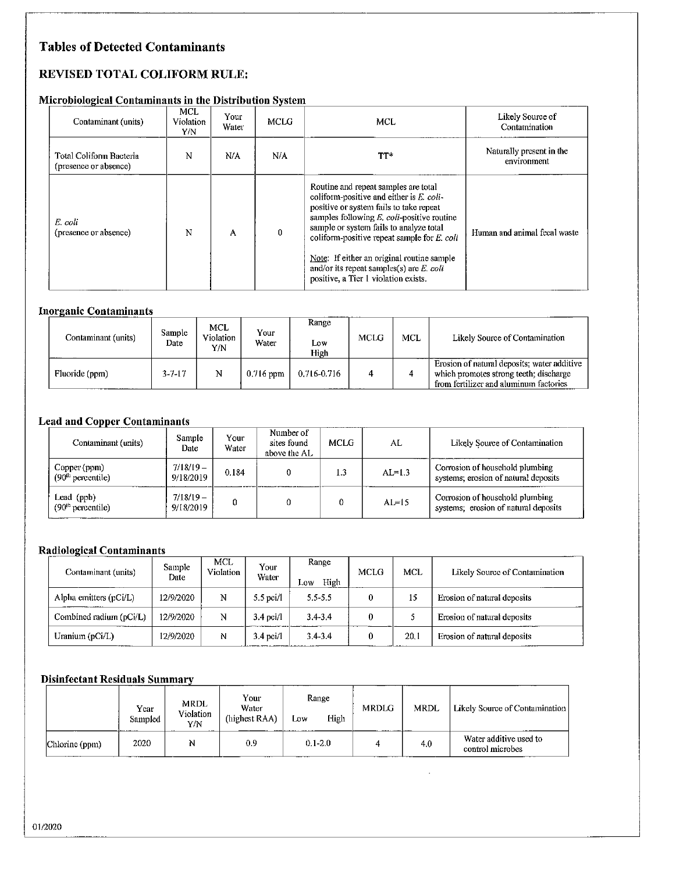# **Tables of Detected Contaminants**

# REVISED TOTAL COLIFORM RULE:

#### Microbiological Contaminants in the Distribution System

| Contaminant (units)                              | <b>MCL</b><br><b>Violation</b><br>Y/N | Your<br>Water | MCLG | <b>MCL</b>                                                                                                                                                                                                                                                                                                                                                                                                     | Likely Source of<br>Contamination       |
|--------------------------------------------------|---------------------------------------|---------------|------|----------------------------------------------------------------------------------------------------------------------------------------------------------------------------------------------------------------------------------------------------------------------------------------------------------------------------------------------------------------------------------------------------------------|-----------------------------------------|
| Total Coliform Bacteria<br>(presence or absence) | N                                     | N/A           | N/A  | TT*                                                                                                                                                                                                                                                                                                                                                                                                            | Naturally present in the<br>environment |
| E. coli<br>(presence or absence)                 | N                                     | A             | 0    | Routine and repeat samples are total<br>coliform-positive and either is E. coli-<br>positive or system fails to take repeat<br>samples following $E$ , coli-positive routine<br>sample or system fails to analyze total<br>coliform-positive repeat sample for $E$ , coli<br>Note: If either an original routine sample<br>and/or its repeat samples(s) are $E$ . coli<br>positive, a Tier 1 violation exists. | Human and animal fecal waste            |

#### **Inorganic Contaminants**

| Contaminant (units) | Sample<br>Date | <b>MCL</b><br>Violation<br>Y/N | Your<br>Water | Range<br>Low<br>High | <b>MCLG</b> | <b>MCL</b> | Likely Source of Contamination                                                                                                  |
|---------------------|----------------|--------------------------------|---------------|----------------------|-------------|------------|---------------------------------------------------------------------------------------------------------------------------------|
| Fluoride (ppm)      | $3 - 7 - 17$   | N                              | $0.716$ ppm   | 0.716-0.716          |             |            | Erosion of natural deposits; water additive<br>which promotes strong teeth; discharge<br>from fertilizer and aluminum factories |

#### **Lead and Copper Contaminants**

| Contaminant (units)                         | Sample<br>Date          | Your<br>Water | Number of<br>sites found<br>above the AL | MCLG.          | AL         | Likely Source of Contamination                                          |
|---------------------------------------------|-------------------------|---------------|------------------------------------------|----------------|------------|-------------------------------------------------------------------------|
| Copper (ppm)<br>$(90th$ percentile)         | $7/18/19-$<br>9/18/2019 | 0.184         |                                          | $\overline{3}$ | $AI = 1.3$ | Corrosion of household plumbing<br>systems; erosion of natural deposits |
| Lead (ppb)<br>(90 <sup>th</sup> percentile) | $7/18/19-$<br>9/18/2019 | Ω             |                                          |                | $AI = 15$  | Corrosion of household plumbing<br>systems; erosion of natural deposits |

## Radiological Contaminants

| Contaminant (units)     | Sample<br>Date | MCL<br>Violation | Your<br>Water | Range<br>High<br>Low | MCLG | <b>MCL</b> | Likely Source of Contamination |
|-------------------------|----------------|------------------|---------------|----------------------|------|------------|--------------------------------|
| Alpha emitters (pCi/L)  | 12/9/2020      | N                | $5.5$ pci/1   | $5.5 - 5.5$          |      | 15         | Erosion of natural deposits    |
| Combined radium (pCi/L) | 12/9/2020      | N                | $3.4$ pci/l   | $3.4 - 3.4$          |      |            | Erosion of natural deposits    |
| Uranium (pCi/L)         | 12/9/2020      | N                | $3.4$ pci/l   | $3.4 - 3.4$          |      | 20.1       | Erosion of natural deposits    |

#### **Disinfectant Residuals Summary**

|                             | Year<br>Sampled | MRDL<br><b>Violation</b><br>Y/N | Your<br>Water<br>(highest RAA) | Range<br>High<br>Low | MRDLG | MRDL | Likely Source of Contamination             |
|-----------------------------|-----------------|---------------------------------|--------------------------------|----------------------|-------|------|--------------------------------------------|
| Chlorine (ppm)<br>--------- | 2020            | N                               | 0.9                            | $0.1 - 2.0$          |       | 4.0  | Water additive used to<br>control microbes |